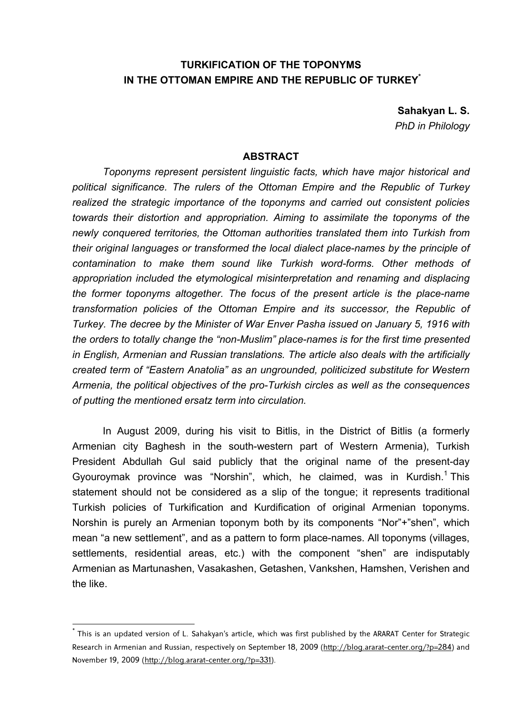# **TURKIFICATION OF THE TOPONYMS IN THE OTTOMAN EMPIRE AND THE REPUBLIC OF TURKEY\***

**Sahakyan L. S.**  *PhD in Philology* 

#### **ABSTRACT**

*Toponyms represent persistent linguistic facts, which have major historical and political significance. The rulers of the Ottoman Empire and the Republic of Turkey realized the strategic importance of the toponyms and carried out consistent policies towards their distortion and appropriation. Aiming to assimilate the toponyms of the newly conquered territories, the Ottoman authorities translated them into Turkish from their original languages or transformed the local dialect place-names by the principle of contamination to make them sound like Turkish word-forms. Other methods of appropriation included the etymological misinterpretation and renaming and displacing the former toponyms altogether. The focus of the present article is the place-name transformation policies of the Ottoman Empire and its successor, the Republic of Turkey. The decree by the Minister of War Enver Pasha issued on January 5, 1916 with the orders to totally change the "non-Muslim" place-names is for the first time presented in English, Armenian and Russian translations. The article also deals with the artificially created term of "Eastern Anatolia" as an ungrounded, politicized substitute for Western Armenia, the political objectives of the pro-Turkish circles as well as the consequences of putting the mentioned ersatz term into circulation.*

In August 2009, during his visit to Bitlis, in the District of Bitlis (a formerly Armenian city Baghesh in the south-western part of Western Armenia), Turkish President Abdullah Gul said publicly that the original name of the present-day Gyouroymak province was "Norshin", which, he claimed, was in Kurdish.<sup>1</sup> This statement should not be considered as a slip of the tongue; it represents traditional Turkish policies of Turkification and Kurdification of original Armenian toponyms. Norshin is purely an Armenian toponym both by its components "Nor"+"shen", which mean "a new settlement", and as a pattern to form place-names. All toponyms (villages, settlements, residential areas, etc.) with the component "shen" are indisputably Armenian as Martunashen, Vasakashen, Getashen, Vankshen, Hamshen, Verishen and the like.

<sup>\*</sup> This is an updated version of L. Sahakyan's article, which was first published by the ARARAT Center for Strategic Research in Armenian and Russian, respectively on September 18, 2009 (http://blog.ararat-center.org/?p=284) and November 19, 2009 (http://blog.ararat-center.org/?p=331).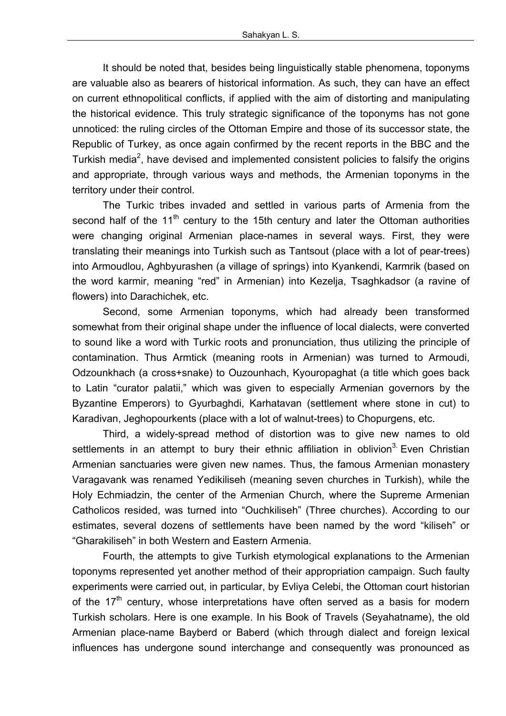It should be noted that, besides being linguistically stable phenomena, toponyms are valuable also as bearers of historical information. As such, they can have an effect on current ethnopolitical conflicts, if applied with the aim of distorting and manipulating the historical evidence. This truly strategic significance of the toponyms has not gone unnoticed: the ruling circles of the Ottoman Empire and those of its successor state, the Republic of Turkey, as once again confirmed by the recent reports in the BBC and the Turkish media<sup>2</sup>, have devised and implemented consistent policies to falsify the origins and appropriate, through various ways and methods, the Armenian toponyms in the territory under their control.

The Turkic tribes invaded and settled in various parts of Armenia from the second half of the 11<sup>th</sup> century to the 15th century and later the Ottoman authorities were changing original Armenian place-names in several ways. First, they were translating their meanings into Turkish such as Tantsout (place with a lot of pear-trees) into Armoudlou, Aghbyurashen (a village of springs) into Kyankendi, Karmrik (based on the word karmir, meaning "red" in Armenian) into Kezelja, Tsaghkadsor (a ravine of flowers) into Darachichek, etc.

Second, some Armenian toponyms, which had already been transformed somewhat from their original shape under the influence of local dialects, were converted to sound like a word with Turkic roots and pronunciation, thus utilizing the principle of contamination. Thus Armtick (meaning roots in Armenian) was turned to Armoudi, Odzounkhach (a cross+snake) to Ouzounhach, Kyouropaghat (a title which goes back to Latin "curator palatii," which was given to especially Armenian governors by the Byzantine Emperors) to Gyurbaghdi, Karhatavan (settlement where stone in cut) to Karadivan, Jeghopourkents (place with a lot of walnut-trees) to Chopurgens, etc.

Third, a widely-spread method of distortion was to give new names to old settlements in an attempt to bury their ethnic affiliation in oblivion<sup>3</sup> Even Christian Armenian sanctuaries were given new names. Thus, the famous Armenian monastery Varagavank was renamed Yedikiliseh (meaning seven churches in Turkish), while the Holy Echmiadzin, the center of the Armenian Church, where the Supreme Armenian Catholicos resided, was turned into "Ouchkiliseh" (Three churches). According to our estimates, several dozens of settlements have been named by the word "kiliseh" or "Gharakiliseh" in both Western and Eastern Armenia.

Fourth, the attempts to give Turkish etymological explanations to the Armenian toponyms represented yet another method of their appropriation campaign. Such faulty experiments were carried out, in particular, by Evliya Celebi, the Ottoman court historian of the 17<sup>th</sup> century, whose interpretations have often served as a basis for modern Turkish scholars. Here is one example. In his Book of Travels (Seyahatname), the old Armenian place-name Bayberd or Baberd (which through dialect and foreign lexical influences has undergone sound interchange and consequently was pronounced as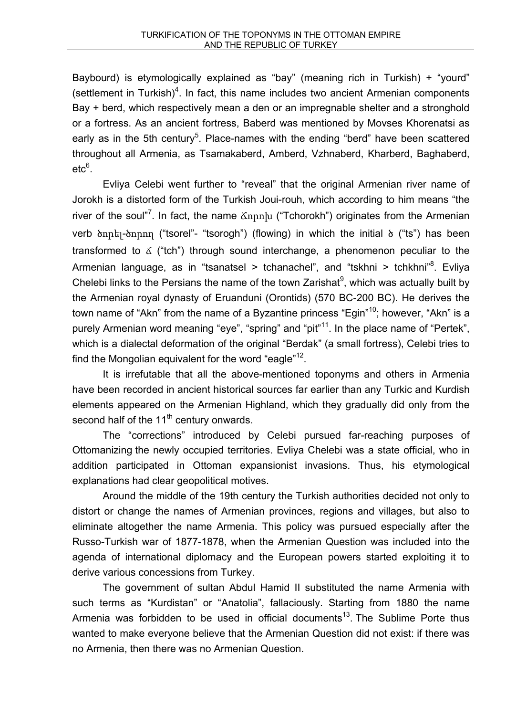Baybourd) is etymologically explained as "bay" (meaning rich in Turkish) + "yourd" (settlement in Turkish) $4$ . In fact, this name includes two ancient Armenian components Bay + berd, which respectively mean a den or an impregnable shelter and a stronghold or a fortress. As an ancient fortress, Baberd was mentioned by Movses Khorenatsi as early as in the 5th century<sup>5</sup>. Place-names with the ending "berd" have been scattered throughout all Armenia, as Tsamakaberd, Amberd, Vzhnaberd, Kharberd, Baghaberd,  $\mathrm{etc}^6.$ 

Evliya Celebi went further to "reveal" that the original Armenian river name of Jorokh is a distorted form of the Turkish Joui-rouh, which according to him means "the river of the soul"<sup>7</sup>. In fact, the name  $\text{Xnph}$  ("Tchorokh") originates from the Armenian verb ծորել-ծորող ("tsorel"- "tsorogh") (flowing) in which the initial ծ ("ts") has been transformed to  $\delta$  ("tch") through sound interchange, a phenomenon peculiar to the Armenian language, as in "tsanatsel > tchanachel", and "tskhni > tchkhni"<sup>8</sup>. Evliya Chelebi links to the Persians the name of the town Zarishat $9$ , which was actually built by the Armenian royal dynasty of Eruanduni (Orontids) (570 BC-200 BC). He derives the town name of "Akn" from the name of a Byzantine princess "Egin"<sup>10</sup>; however, "Akn" is a purely Armenian word meaning "eye", "spring" and "pit"<sup>11</sup>. In the place name of "Pertek", which is a dialectal deformation of the original "Berdak" (a small fortress), Celebi tries to find the Mongolian equivalent for the word "eagle"<sup>12</sup>.

It is irrefutable that all the above-mentioned toponyms and others in Armenia have been recorded in ancient historical sources far earlier than any Turkic and Kurdish elements appeared on the Armenian Highland, which they gradually did only from the second half of the  $11<sup>th</sup>$  century onwards.

The "corrections" introduced by Celebi pursued far-reaching purposes of Ottomanizing the newly occupied territories. Evliya Chelebi was a state official, who in addition participated in Ottoman expansionist invasions. Thus, his etymological explanations had clear geopolitical motives.

Around the middle of the 19th century the Turkish authorities decided not only to distort or change the names of Armenian provinces, regions and villages, but also to eliminate altogether the name Armenia. This policy was pursued especially after the Russo-Turkish war of 1877-1878, when the Armenian Question was included into the agenda of international diplomacy and the European powers started exploiting it to derive various concessions from Turkey.

The government of sultan Abdul Hamid II substituted the name Armenia with such terms as "Kurdistan" or "Anatolia", fallaciously. Starting from 1880 the name Armenia was forbidden to be used in official documents<sup>13</sup>. The Sublime Porte thus wanted to make everyone believe that the Armenian Question did not exist: if there was no Armenia, then there was no Armenian Question.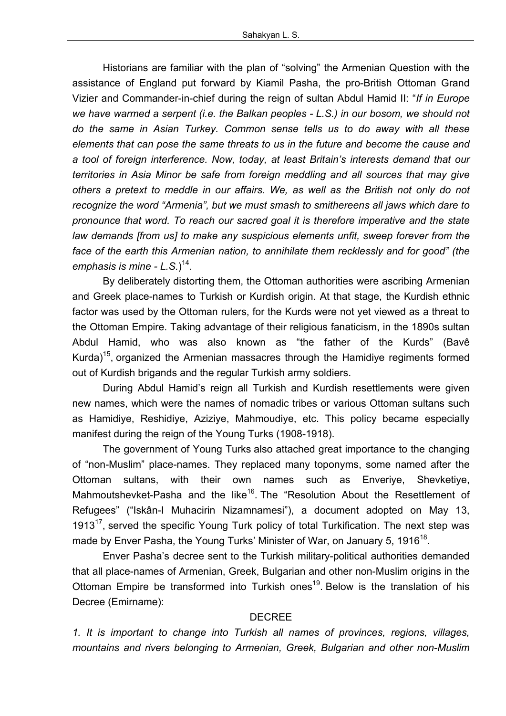Historians are familiar with the plan of "solving" the Armenian Question with the assistance of England put forward by Kiamil Pasha, the pro-British Ottoman Grand Vizier and Commander-in-chief during the reign of sultan Abdul Hamid II: "*If in Europe we have warmed a serpent (i.e. the Balkan peoples - L.S.) in our bosom, we should not do the same in Asian Turkey. Common sense tells us to do away with all these elements that can pose the same threats to us in the future and become the cause and a tool of foreign interference. Now, today, at least Britain's interests demand that our territories in Asia Minor be safe from foreign meddling and all sources that may give others a pretext to meddle in our affairs. We, as well as the British not only do not recognize the word "Armenia", but we must smash to smithereens all jaws which dare to pronounce that word. To reach our sacred goal it is therefore imperative and the state law demands [from us] to make any suspicious elements unfit, sweep forever from the face of the earth this Armenian nation, to annihilate them recklessly and for good" (the emphasis is mine - L.S.*) 14.

By deliberately distorting them, the Ottoman authorities were ascribing Armenian and Greek place-names to Turkish or Kurdish origin. At that stage, the Kurdish ethnic factor was used by the Ottoman rulers, for the Kurds were not yet viewed as a threat to the Ottoman Empire. Taking advantage of their religious fanaticism, in the 1890s sultan Abdul Hamid, who was also known as "the father of the Kurds" (Bavê Kurda)<sup>15</sup>, organized the Armenian massacres through the Hamidiye regiments formed out of Kurdish brigands and the regular Turkish army soldiers.

During Abdul Hamid's reign all Turkish and Kurdish resettlements were given new names, which were the names of nomadic tribes or various Ottoman sultans such as Hamidiye, Reshidiye, Aziziye, Mahmoudiye, etc. This policy became especially manifest during the reign of the Young Turks (1908-1918).

The government of Young Turks also attached great importance to the changing of "non-Muslim" place-names. They replaced many toponyms, some named after the Ottoman sultans, with their own names such as Enveriye, Shevketiye, Mahmoutshevket-Pasha and the like<sup>16</sup>. The "Resolution About the Resettlement of Refugees" ("Iskân-I Muhacirin Nizamnamesi"), a document adopted on May 13, 1913 $<sup>17</sup>$ , served the specific Young Turk policy of total Turkification. The next step was</sup> made by Enver Pasha, the Young Turks' Minister of War, on January 5, 1916<sup>18</sup>.

Enver Pasha's decree sent to the Turkish military-political authorities demanded that all place-names of Armenian, Greek, Bulgarian and other non-Muslim origins in the Ottoman Empire be transformed into Turkish ones<sup>19</sup>. Below is the translation of his Decree (Emirname):

### DECREE

*1. It is important to change into Turkish all names of provinces, regions, villages, mountains and rivers belonging to Armenian, Greek, Bulgarian and other non-Muslim*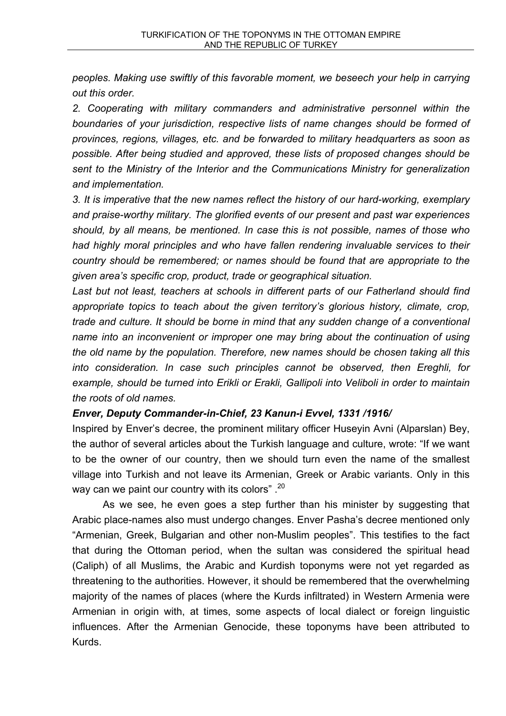*peoples. Making use swiftly of this favorable moment, we beseech your help in carrying out this order.*

*2. Cooperating with military commanders and administrative personnel within the boundaries of your jurisdiction, respective lists of name changes should be formed of provinces, regions, villages, etc. and be forwarded to military headquarters as soon as possible. After being studied and approved, these lists of proposed changes should be sent to the Ministry of the Interior and the Communications Ministry for generalization and implementation.*

*3. It is imperative that the new names reflect the history of our hard-working, exemplary and praise-worthy military. The glorified events of our present and past war experiences should, by all means, be mentioned. In case this is not possible, names of those who had highly moral principles and who have fallen rendering invaluable services to their country should be remembered; or names should be found that are appropriate to the given area's specific crop, product, trade or geographical situation.*

*Last but not least, teachers at schools in different parts of our Fatherland should find appropriate topics to teach about the given territory's glorious history, climate, crop, trade and culture. It should be borne in mind that any sudden change of a conventional name into an inconvenient or improper one may bring about the continuation of using the old name by the population. Therefore, new names should be chosen taking all this into consideration. In case such principles cannot be observed, then Ereghli, for example, should be turned into Erikli or Erakli, Gallipoli into Veliboli in order to maintain the roots of old names.*

## *Enver, Deputy Commander-in-Chief, 23 Kanun-i Evvel, 1331 /1916/*

Inspired by Enver's decree, the prominent military officer Huseyin Avni (Alparslan) Bey, the author of several articles about the Turkish language and culture, wrote: "If we want to be the owner of our country, then we should turn even the name of the smallest village into Turkish and not leave its Armenian, Greek or Arabic variants. Only in this way can we paint our country with its colors".<sup>20</sup>

As we see, he even goes a step further than his minister by suggesting that Arabic place-names also must undergo changes. Enver Pasha's decree mentioned only "Armenian, Greek, Bulgarian and other non-Muslim peoples". This testifies to the fact that during the Ottoman period, when the sultan was considered the spiritual head (Caliph) of all Muslims, the Arabic and Kurdish toponyms were not yet regarded as threatening to the authorities. However, it should be remembered that the overwhelming majority of the names of places (where the Kurds infiltrated) in Western Armenia were Armenian in origin with, at times, some aspects of local dialect or foreign linguistic influences. After the Armenian Genocide, these toponyms have been attributed to Kurds.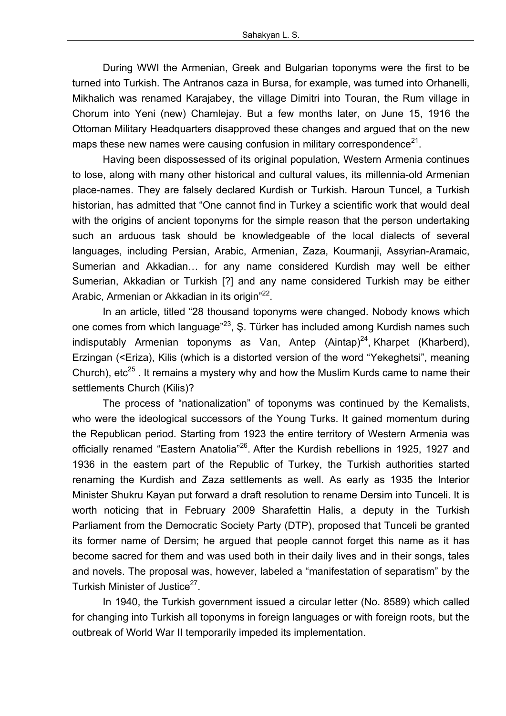During WWI the Armenian, Greek and Bulgarian toponyms were the first to be turned into Turkish. The Antranos caza in Bursa, for example, was turned into Orhanelli, Mikhalich was renamed Karajabey, the village Dimitri into Touran, the Rum village in Chorum into Yeni (new) Chamlejay. But a few months later, on June 15, 1916 the Ottoman Military Headquarters disapproved these changes and argued that on the new maps these new names were causing confusion in military correspondence $21$ .

Having been dispossessed of its original population, Western Armenia continues to lose, along with many other historical and cultural values, its millennia-old Armenian place-names. They are falsely declared Kurdish or Turkish. Haroun Tuncel, a Turkish historian, has admitted that "One cannot find in Turkey a scientific work that would deal with the origins of ancient toponyms for the simple reason that the person undertaking such an arduous task should be knowledgeable of the local dialects of several languages, including Persian, Arabic, Armenian, Zaza, Kourmanji, Assyrian-Aramaic, Sumerian and Akkadian… for any name considered Kurdish may well be either Sumerian, Akkadian or Turkish [?] and any name considered Turkish may be either Arabic, Armenian or Akkadian in its origin"<sup>22</sup>.

In an article, titled "28 thousand toponyms were changed. Nobody knows which one comes from which language"<sup>23</sup>, Ş. Türker has included among Kurdish names such indisputably Armenian toponyms as Van, Antep  $(Aintap)^{24}$ , Kharpet (Kharberd), Erzingan (<Eriza), Kilis (which is a distorted version of the word "Yekeghetsi", meaning Church),  $etc^{25}$ . It remains a mystery why and how the Muslim Kurds came to name their settlements Church (Kilis)?

The process of "nationalization" of toponyms was continued by the Kemalists, who were the ideological successors of the Young Turks. It gained momentum during the Republican period. Starting from 1923 the entire territory of Western Armenia was officially renamed "Eastern Anatolia"<sup>26</sup>. After the Kurdish rebellions in 1925, 1927 and 1936 in the eastern part of the Republic of Turkey, the Turkish authorities started renaming the Kurdish and Zaza settlements as well. As early as 1935 the Interior Minister Shukru Kayan put forward a draft resolution to rename Dersim into Tunceli. It is worth noticing that in February 2009 Sharafettin Halis, a deputy in the Turkish Parliament from the Democratic Society Party (DTP), proposed that Tunceli be granted its former name of Dersim; he argued that people cannot forget this name as it has become sacred for them and was used both in their daily lives and in their songs, tales and novels. The proposal was, however, labeled a "manifestation of separatism" by the Turkish Minister of Justice<sup>27</sup>.

In 1940, the Turkish government issued a circular letter (No. 8589) which called for changing into Turkish all toponyms in foreign languages or with foreign roots, but the outbreak of World War II temporarily impeded its implementation.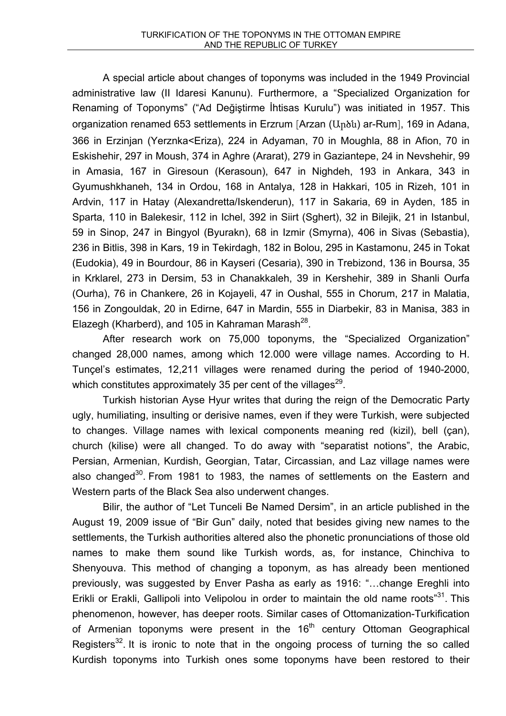A special article about changes of toponyms was included in the 1949 Provincial administrative law (II Idaresi Kanunu). Furthermore, a "Specialized Organization for Renaming of Toponyms" ("Ad Değiştirme İhtisas Kurulu") was initiated in 1957. This organization renamed 653 settlements in Erzrum [Arzan (Արծն) ar-Rum], 169 in Adana, 366 in Erzinjan (Yerznka<Eriza), 224 in Adyaman, 70 in Moughla, 88 in Afion, 70 in Eskishehir, 297 in Moush, 374 in Aghre (Ararat), 279 in Gaziantepe, 24 in Nevshehir, 99 in Amasia, 167 in Giresoun (Kerasoun), 647 in Nighdeh, 193 in Ankara, 343 in Gyumushkhaneh, 134 in Ordou, 168 in Antalya, 128 in Hakkari, 105 in Rizeh, 101 in Ardvin, 117 in Hatay (Alexandretta/Iskenderun), 117 in Sakaria, 69 in Ayden, 185 in Sparta, 110 in Balekesir, 112 in Ichel, 392 in Siirt (Sghert), 32 in Bilejik, 21 in Istanbul, 59 in Sinop, 247 in Bingyol (Byurakn), 68 in Izmir (Smyrna), 406 in Sivas (Sebastia), 236 in Bitlis, 398 in Kars, 19 in Tekirdagh, 182 in Bolou, 295 in Kastamonu, 245 in Tokat (Eudokia), 49 in Bourdour, 86 in Kayseri (Cesaria), 390 in Trebizond, 136 in Boursa, 35 in Krklarel, 273 in Dersim, 53 in Chanakkaleh, 39 in Kershehir, 389 in Shanli Ourfa (Ourha), 76 in Chankere, 26 in Kojayeli, 47 in Oushal, 555 in Chorum, 217 in Malatia, 156 in Zongouldak, 20 in Edirne, 647 in Mardin, 555 in Diarbekir, 83 in Manisa, 383 in Elazegh (Kharberd), and 105 in Kahraman Marash $^{28}$ .

After research work on 75,000 toponyms, the "Specialized Organization" changed 28,000 names, among which 12.000 were village names. According to H. Tunçel's estimates, 12,211 villages were renamed during the period of 1940-2000, which constitutes approximately 35 per cent of the villages<sup>29</sup>.

Turkish historian Ayse Hyur writes that during the reign of the Democratic Party ugly, humiliating, insulting or derisive names, even if they were Turkish, were subjected to changes. Village names with lexical components meaning red (kizil), bell (çan), church (kilise) were all changed. To do away with "separatist notions", the Arabic, Persian, Armenian, Kurdish, Georgian, Tatar, Circassian, and Laz village names were also changed<sup>30</sup>. From 1981 to 1983, the names of settlements on the Eastern and Western parts of the Black Sea also underwent changes.

Bilir, the author of "Let Tunceli Be Named Dersim", in an article published in the August 19, 2009 issue of "Bir Gun" daily, noted that besides giving new names to the settlements, the Turkish authorities altered also the phonetic pronunciations of those old names to make them sound like Turkish words, as, for instance, Chinchiva to Shenyouva. This method of changing a toponym, as has already been mentioned previously, was suggested by Enver Pasha as early as 1916: "…change Ereghli into Erikli or Erakli, Gallipoli into Velipolou in order to maintain the old name roots"<sup>31</sup>. This phenomenon, however, has deeper roots. Similar cases of Ottomanization-Turkification of Armenian toponyms were present in the  $16<sup>th</sup>$  century Ottoman Geographical Registers<sup>32</sup>. It is ironic to note that in the ongoing process of turning the so called Kurdish toponyms into Turkish ones some toponyms have been restored to their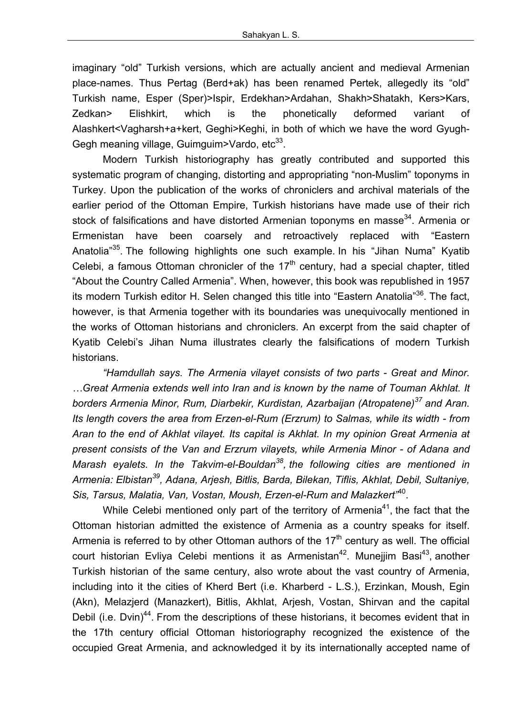imaginary "old" Turkish versions, which are actually ancient and medieval Armenian place-names. Thus Pertag (Berd+ak) has been renamed Pertek, allegedly its "old" Turkish name, Esper (Sper)>Ispir, Erdekhan>Ardahan, Shakh>Shatakh, Kers>Kars, Zedkan> Elishkirt, which is the phonetically deformed variant of Alashkert<Vagharsh+a+kert, Geghi>Keghi, in both of which we have the word Gyugh-Gegh meaning village, Guimguim>Vardo, etc<sup>33</sup>.

Modern Turkish historiography has greatly contributed and supported this systematic program of changing, distorting and appropriating "non-Muslim" toponyms in Turkey. Upon the publication of the works of chroniclers and archival materials of the earlier period of the Ottoman Empire, Turkish historians have made use of their rich stock of falsifications and have distorted Armenian toponyms en masse<sup>34</sup>. Armenia or Ermenistan have been coarsely and retroactively replaced with "Eastern Anatolia<sup>35</sup>. The following highlights one such example. In his "Jihan Numa" Kyatib Celebi, a famous Ottoman chronicler of the  $17<sup>th</sup>$  century, had a special chapter, titled "About the Country Called Armenia". When, however, this book was republished in 1957 its modern Turkish editor H. Selen changed this title into "Eastern Anatolia"<sup>36</sup>. The fact, however, is that Armenia together with its boundaries was unequivocally mentioned in the works of Ottoman historians and chroniclers. An excerpt from the said chapter of Kyatib Celebi's Jihan Numa illustrates clearly the falsifications of modern Turkish historians.

*"Hamdullah says. The Armenia vilayet consists of two parts - Great and Minor. …Great Armenia extends well into Iran and is known by the name of Touman Akhlat. It borders Armenia Minor, Rum, Diarbekir, Kurdistan, Azarbaijan (Atropatene)37 and Aran. Its length covers the area from Erzen-el-Rum (Erzrum) to Salmas, while its width - from Aran to the end of Akhlat vilayet. Its capital is Akhlat. In my opinion Great Armenia at present consists of the Van and Erzrum vilayets, while Armenia Minor - of Adana and Marash eyalets. In the Takvim-el-Bouldan38, the following cities are mentioned in Armenia: Elbistan39, Adana, Arjesh, Bitlis, Barda, Bilekan, Tiflis, Akhlat, Debil, Sultaniye, Sis, Tarsus, Malatia, Van, Vostan, Moush, Erzen-el-Rum and Malazkert"*40.

While Celebi mentioned only part of the territory of Armenia<sup>41</sup>, the fact that the Ottoman historian admitted the existence of Armenia as a country speaks for itself. Armenia is referred to by other Ottoman authors of the  $17<sup>th</sup>$  century as well. The official court historian Evliya Celebi mentions it as Armenistan<sup>42</sup>. Munejjim Basi<sup>43</sup>, another Turkish historian of the same century, also wrote about the vast country of Armenia, including into it the cities of Kherd Bert (i.e. Kharberd - L.S.), Erzinkan, Moush, Egin (Akn), Melazjerd (Manazkert), Bitlis, Akhlat, Arjesh, Vostan, Shirvan and the capital Debil (i.e. Dvin)<sup>44</sup>. From the descriptions of these historians, it becomes evident that in the 17th century official Ottoman historiography recognized the existence of the occupied Great Armenia, and acknowledged it by its internationally accepted name of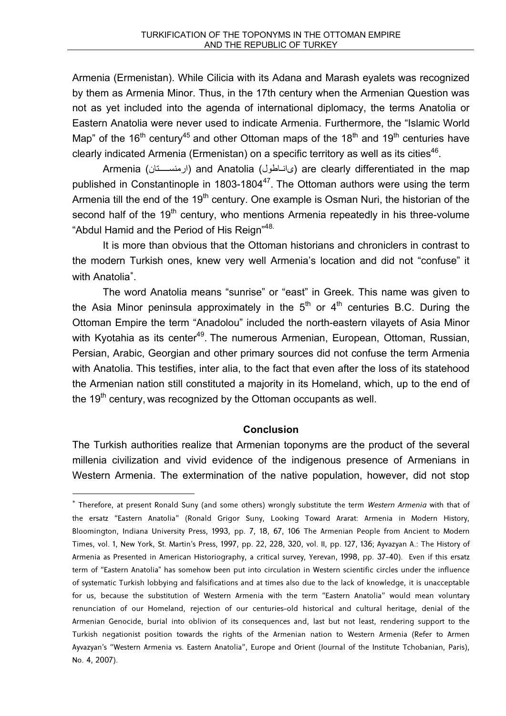Armenia (Ermenistan). While Cilicia with its Adana and Marash eyalets was recognized by them as Armenia Minor. Thus, in the 17th century when the Armenian Question was not as yet included into the agenda of international diplomacy, the terms Anatolia or Eastern Anatolia were never used to indicate Armenia. Furthermore, the "Islamic World Map" of the 16<sup>th</sup> century<sup>45</sup> and other Ottoman maps of the 18<sup>th</sup> and 19<sup>th</sup> centuries have clearly indicated Armenia (Ermenistan) on a specific territory as well as its cities<sup>46</sup>.

Armenia (ارمنستان) and Anatolia (ارمنستان) are clearly differentiated in the map published in Constantinople in 1803-1804 $47$ . The Ottoman authors were using the term Armenia till the end of the 19<sup>th</sup> century. One example is Osman Nuri, the historian of the second half of the 19<sup>th</sup> century, who mentions Armenia repeatedly in his three-volume "Abdul Hamid and the Period of His Reign"<sup>48.</sup>

It is more than obvious that the Ottoman historians and chroniclers in contrast to the modern Turkish ones, knew very well Armenia's location and did not "confuse" it with Anatolia<sup>\*</sup>.

The word Anatolia means "sunrise" or "east" in Greek. This name was given to the Asia Minor peninsula approximately in the  $5<sup>th</sup>$  or  $4<sup>th</sup>$  centuries B.C. During the Ottoman Empire the term "Anadolou" included the north-eastern vilayets of Asia Minor with Kyotahia as its center<sup>49</sup>. The numerous Armenian, European, Ottoman, Russian, Persian, Arabic, Georgian and other primary sources did not confuse the term Armenia with Anatolia. This testifies, inter alia, to the fact that even after the loss of its statehood the Armenian nation still constituted a majority in its Homeland, which, up to the end of the  $19<sup>th</sup>$  century, was recognized by the Ottoman occupants as well.

### **Conclusion**

The Turkish authorities realize that Armenian toponyms are the product of the several millenia civilization and vivid evidence of the indigenous presence of Armenians in Western Armenia. The extermination of the native population, however, did not stop

Therefore, at present Ronald Suny (and some others) wrongly substitute the term *Western Armenia* with that of the ersatz "Eastern Anatolia" (Ronald Grigor Suny, Looking Toward Ararat: Armenia in Modern History, Bloomington, Indiana University Press, 1993, pp. 7, 18, 67, 106 The Armenian People from Ancient to Modern Times, vol. 1, New York, St. Martin's Press, 1997, pp. 22, 228, 320, vol. II, pp. 127, 136; Ayvazyan A.: The History of Armenia as Presented in American Historiography, a critical survey, Yerevan, 1998, pp. 37-40). Even if this ersatz term of "Eastern Anatolia" has somehow been put into circulation in Western scientific circles under the influence of systematic Turkish lobbying and falsifications and at times also due to the lack of knowledge, it is unacceptable for us, because the substitution of Western Armenia with the term "Eastern Anatolia" would mean voluntary renunciation of our Homeland, rejection of our centuries-old historical and cultural heritage, denial of the Armenian Genocide, burial into oblivion of its consequences and, last but not least, rendering support to the Turkish negationist position towards the rights of the Armenian nation to Western Armenia (Refer to Armen Ayvazyan's "Western Armenia vs. Eastern Anatolia", Europe and Orient (Journal of the Institute Tchobanian, Paris), No. 4, 2007).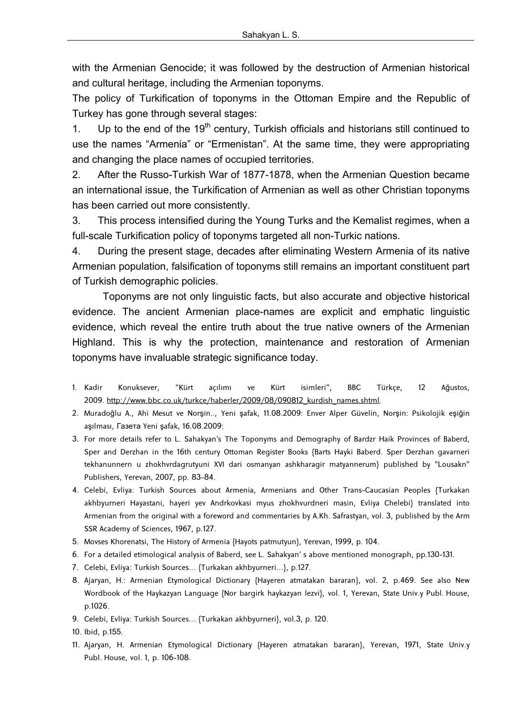with the Armenian Genocide; it was followed by the destruction of Armenian historical and cultural heritage, including the Armenian toponyms.

The policy of Turkification of toponyms in the Ottoman Empire and the Republic of Turkey has gone through several stages:

1. Up to the end of the  $19<sup>th</sup>$  century, Turkish officials and historians still continued to use the names "Armenia" or "Ermenistan". At the same time, they were appropriating and changing the place names of occupied territories.

2. After the Russo-Turkish War of 1877-1878, when the Armenian Question became an international issue, the Turkification of Armenian as well as other Christian toponyms has been carried out more consistently.

3. This process intensified during the Young Turks and the Kemalist regimes, when a full-scale Turkification policy of toponyms targeted all non-Turkic nations.

4. During the present stage, decades after eliminating Western Armenia of its native Armenian population, falsification of toponyms still remains an important constituent part of Turkish demographic policies.

Toponyms are not only linguistic facts, but also accurate and objective historical evidence. The ancient Armenian place-names are explicit and emphatic linguistic evidence, which reveal the entire truth about the true native owners of the Armenian Highland. This is why the protection, maintenance and restoration of Armenian toponyms have invaluable strategic significance today.

- 1. Kadir Konuksever, "Kürt açılımı ve Kürt isimleri", BBC Türkçe, 12 Ağustos, 2009. http://www.bbc.co.uk/turkce/haberler/2009/08/090812 kurdish\_names.shtml.
- 2. Muradoğlu A., Ahi Mesut ve Norşin.., Yeni şafak, 11.08.2009։ Enver Alper Güvelin, Norşin: Psikolojik eşiğin aşılması, Газета Yeni şafak, 16.08.2009։
- 3. For more details refer to L. Sahakyan's The Toponyms and Demography of Bardzr Haik Provinces of Baberd, Sper and Derzhan in the 16th century Ottoman Register Books {Barts Hayki Baberd. Sper Derzhan gavarneri tekhanunnern u zhokhvrdagrutyuni XVI dari osmanyan ashkharagir matyannerum} published by "Lousakn" Publishers, Yerevan, 2007, pp. 83-84.
- 4. Celebi, Evliya: Turkish Sources about Armenia, Armenians and Other Trans-Caucasian Peoples {Turkakan akhbyurneri Hayastani, hayeri yev Andrkovkasi myus zhokhvurdneri masin, Evliya Chelebi} translated into Armenian from the original with a foreword and commentaries by A.Kh. Safrastyan, vol. 3, published by the Arm SSR Academy of Sciences, 1967, p.127.
- 5. Movses Khorenatsi, The History of Armenia {Hayots patmutyun}, Yerevan, 1999, p. 104.
- 6. For a detailed etimological analysis of Baberd, see L. Sahakyan' s above mentioned monograph, pp.130-131.
- 7. Celebi, Evliya: Turkish Sources… {Turkakan akhbyurneri…}, p.127.
- 8. Ajaryan, H.: Armenian Etymological Dictionary {Hayeren atmatakan bararan}, vol. 2, p.469. See also New Wordbook of the Haykazyan Language {Nor bargirk haykazyan lezvi}, vol. 1, Yerevan, State Univ.y Publ. House, p.1026.
- 9. Celebi, Evliya: Turkish Sources… {Turkakan akhbyurneri}, vol.3, p. 120.

10. Ibid, p.155.

11. Ajaryan, H. Armenian Etymological Dictionary {Hayeren atmatakan bararan}, Yerevan, 1971, State Univ.y Publ. House, vol. 1, p. 106-108.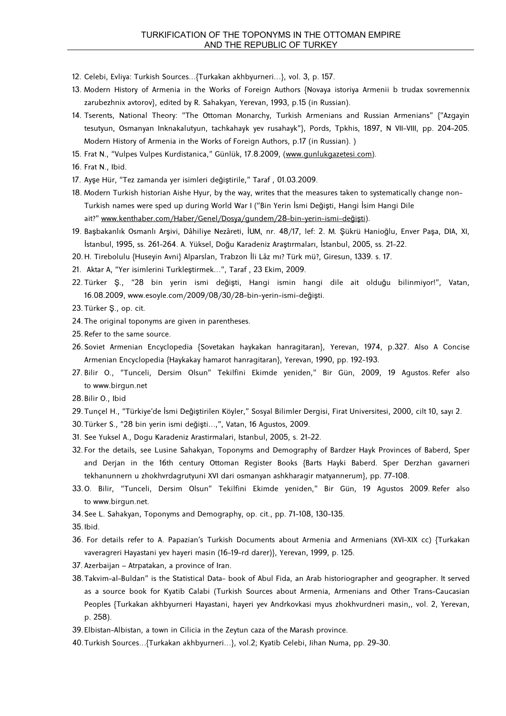- 12. Celebi, Evliya: Turkish Sources…{Turkakan akhbyurneri…}, vol. 3, p. 157.
- 13. Modern History of Armenia in the Works of Foreign Authors {Novaya istoriya Armenii b trudax sovremennix zarubezhnix avtorov}, edited by R. Sahakyan, Yerevan, 1993, p.15 (in Russian).
- 14. Tserents, National Theory: "The Ottoman Monarchy, Turkish Armenians and Russian Armenians" {"Azgayin tesutyun, Osmanyan Inknakalutyun, tachkahayk yev rusahayk"}, Pords, Tpkhis, 1897, N VII-VIII, pp. 204-205. Modern History of Armenia in the Works of Foreign Authors, p.17 (in Russian). )
- 15. Frat N., "Vulpes Vulpes Kurdistanica," Günlük, 17.8.2009, (www.gunlukgazetesi.com).
- 16. Frat N., Ibid.
- 17. Ayşe Hür, "Tez zamanda yer isimleri değiştirile," Taraf , 01.03.2009.
- 18. Modern Turkish historian Aishe Hyur, by the way, writes that the measures taken to systematically change non-Turkish names were sped up during World War I ("Bin Yerin İsmi Değişti, Hangi İsim Hangi Dile ait?" www.kenthaber.com/Haber/Genel/Dosya/gundem/28-bin-yerin-ismi-değişti).
- 19. Başbakanlık Osmanlı Arşivi, Dâhiliye Nezâreti, İUM, nr. 48/17, lef: 2. M. Şükrü Hanioğlu, Enver Paşa, DIA, XI, İstanbul, 1995, ss. 261-264. A. Yüksel, Doğu Karadeniz Araştırmaları, İstanbul, 2005, ss. 21-22.
- 20. H. Tirebolulu {Huseyin Avni} Alparslan, Trabzon İli Lâz mı? Türk mü?, Giresun, 1339. s. 17.
- 21. Aktar A, "Yer isimlerini Turkleştirmek…", Taraf , 23 Ekim, 2009.
- 22. Türker Ş., "28 bin yerin ismi değişti, Hangi ismin hangi dile ait olduğu bilinmiyor!", Vatan, 16.08.2009, www.esoyle.com/2009/08/30/28-bin-yerin-ismi-değişti.
- 23. Türker Ş., op. cit.
- 24. The original toponyms are given in parentheses.
- 25. Refer to the same source.
- 26. Soviet Armenian Encyclopedia {Sovetakan haykakan hanragitaran}, Yerevan, 1974, p.327. Also A Concise Armenian Encyclopedia {Haykakay hamarot hanragitaran}, Yerevan, 1990, pp. 192-193.
- 27. Bilir O., "Tunceli, Dersim Olsun" Tekilfini Ekimde yeniden," Bir Gün, 2009, 19 Agustos. Refer also to www.birgun.net
- 28. Bilir O., Ibid
- 29. Tunçel H., "Türkiye'de İsmi Deĝiştirilen Köyler," Sosyal Bilimler Dergisi, Firat Universitesi, 2000, cilt 10, sayı 2.
- 30. Türker S., "28 bin yerin ismi değişti…,", Vatan, 16 Agustos, 2009.
- 31. See Yuksel A., Dogu Karadeniz Arastirmalari, Istanbul, 2005, s. 21-22.
- 32. For the details, see Lusine Sahakyan, Toponyms and Demography of Bardzer Hayk Provinces of Baberd, Sper and Derjan in the 16th century Ottoman Register Books {Barts Hayki Baberd. Sper Derzhan gavarneri tekhanunnern u zhokhvrdagrutyuni XVI dari osmanyan ashkharagir matyannerum}, pp. 77-108.
- 33. O. Bilir, "Tunceli, Dersim Olsun" Tekilfini Ekimde yeniden," Bir Gün, 19 Agustos 2009. Refer also to www.birgun.net.
- 34. See L. Sahakyan, Toponyms and Demography, op. cit., pp. 71-108, 130-135.

35. Ibid.

- 36. For details refer to A. Papazian's Turkish Documents about Armenia and Armenians (XVI-XIX cc) {Turkakan vaveragreri Hayastani yev hayeri masin (16-19-rd darer)}, Yerevan, 1999, p. 125.
- 37. Azerbaijan Atrpatakan, a province of Iran.
- 38. Takvim-al-Buldan" is the Statistical Data- book of Abul Fida, an Arab historiographer and geographer. It served as a source book for Kyatib Calabi (Turkish Sources about Armenia, Armenians and Other Trans-Caucasian Peoples {Turkakan akhbyurneri Hayastani, hayeri yev Andrkovkasi myus zhokhvurdneri masin,, vol. 2, Yerevan, p. 258).
- 39. Elbistan-Albistan, a town in Cilicia in the Zeytun caza of the Marash province.
- 40. Turkish Sources…{Turkakan akhbyurneri…}, vol.2; Kyatib Celebi, Jihan Numa, pp. 29-30.